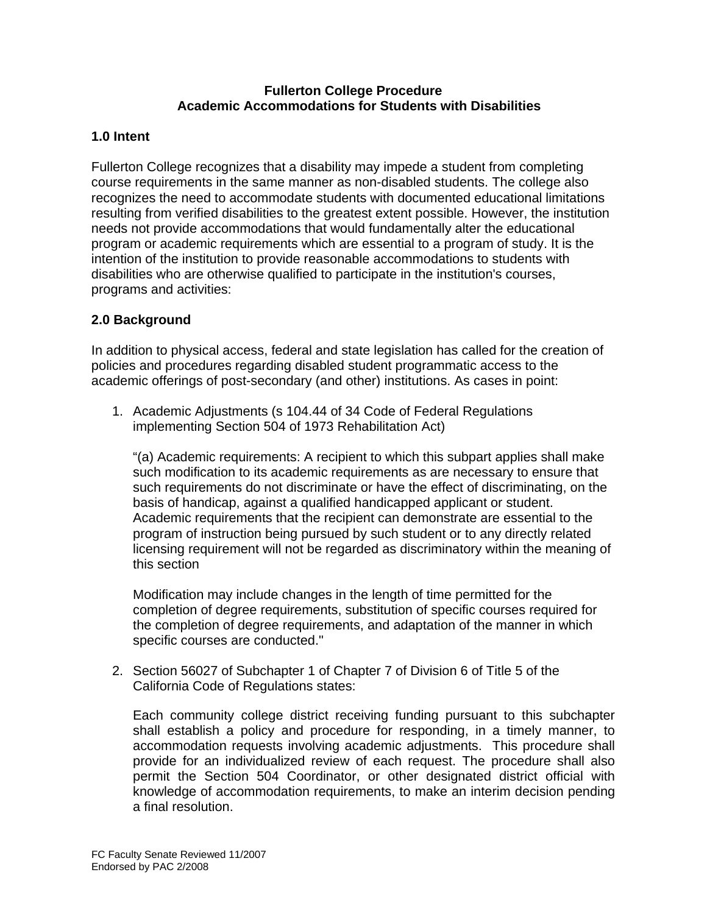### **Fullerton College Procedure Academic Accommodations for Students with Disabilities**

## **1.0 Intent**

Fullerton College recognizes that a disability may impede a student from completing course requirements in the same manner as non-disabled students. The college also recognizes the need to accommodate students with documented educational limitations resulting from verified disabilities to the greatest extent possible. However, the institution needs not provide accommodations that would fundamentally alter the educational program or academic requirements which are essential to a program of study. It is the intention of the institution to provide reasonable accommodations to students with disabilities who are otherwise qualified to participate in the institution's courses, programs and activities:

## **2.0 Background**

In addition to physical access, federal and state legislation has called for the creation of policies and procedures regarding disabled student programmatic access to the academic offerings of post-secondary (and other) institutions. As cases in point:

1. Academic Adjustments (s 104.44 of 34 Code of Federal Regulations implementing Section 504 of 1973 Rehabilitation Act)

"(a) Academic requirements: A recipient to which this subpart applies shall make such modification to its academic requirements as are necessary to ensure that such requirements do not discriminate or have the effect of discriminating, on the basis of handicap, against a qualified handicapped applicant or student. Academic requirements that the recipient can demonstrate are essential to the program of instruction being pursued by such student or to any directly related licensing requirement will not be regarded as discriminatory within the meaning of this section

Modification may include changes in the length of time permitted for the completion of degree requirements, substitution of specific courses required for the completion of degree requirements, and adaptation of the manner in which specific courses are conducted."

2. Section 56027 of Subchapter 1 of Chapter 7 of Division 6 of Title 5 of the California Code of Regulations states:

Each community college district receiving funding pursuant to this subchapter shall establish a policy and procedure for responding, in a timely manner, to accommodation requests involving academic adjustments. This procedure shall provide for an individualized review of each request. The procedure shall also permit the Section 504 Coordinator, or other designated district official with knowledge of accommodation requirements, to make an interim decision pending a final resolution.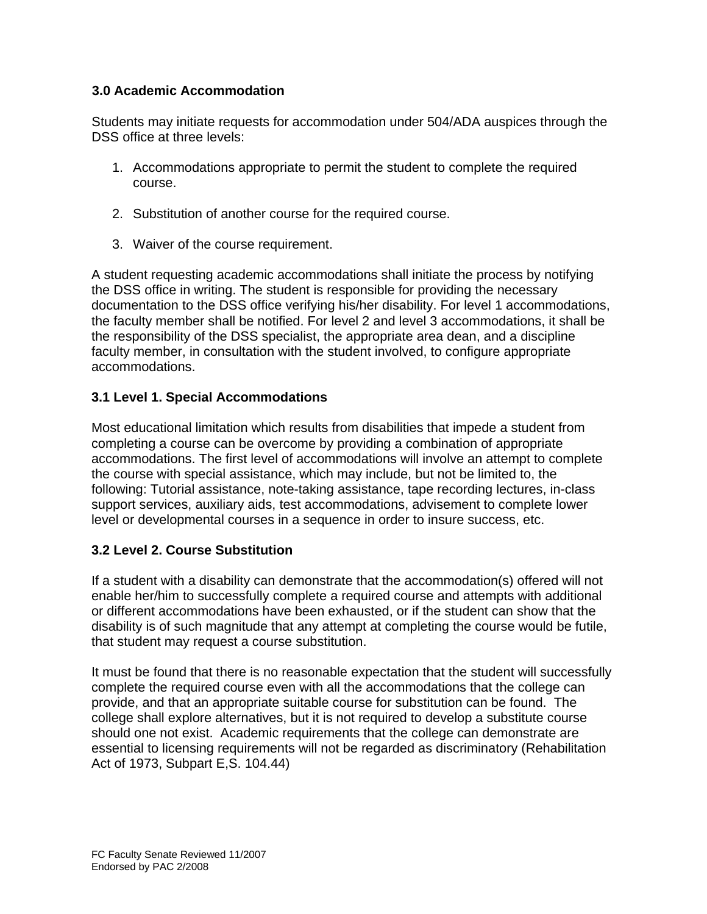## **3.0 Academic Accommodation**

Students may initiate requests for accommodation under 504/ADA auspices through the DSS office at three levels:

- 1. Accommodations appropriate to permit the student to complete the required course.
- 2. Substitution of another course for the required course.
- 3. Waiver of the course requirement.

A student requesting academic accommodations shall initiate the process by notifying the DSS office in writing. The student is responsible for providing the necessary documentation to the DSS office verifying his/her disability. For level 1 accommodations, the faculty member shall be notified. For level 2 and level 3 accommodations, it shall be the responsibility of the DSS specialist, the appropriate area dean, and a discipline faculty member, in consultation with the student involved, to configure appropriate accommodations.

## **3.1 Level 1. Special Accommodations**

Most educational limitation which results from disabilities that impede a student from completing a course can be overcome by providing a combination of appropriate accommodations. The first level of accommodations will involve an attempt to complete the course with special assistance, which may include, but not be limited to, the following: Tutorial assistance, note-taking assistance, tape recording lectures, in-class support services, auxiliary aids, test accommodations, advisement to complete lower level or developmental courses in a sequence in order to insure success, etc.

## **3.2 Level 2. Course Substitution**

If a student with a disability can demonstrate that the accommodation(s) offered will not enable her/him to successfully complete a required course and attempts with additional or different accommodations have been exhausted, or if the student can show that the disability is of such magnitude that any attempt at completing the course would be futile, that student may request a course substitution.

It must be found that there is no reasonable expectation that the student will successfully complete the required course even with all the accommodations that the college can provide, and that an appropriate suitable course for substitution can be found. The college shall explore alternatives, but it is not required to develop a substitute course should one not exist. Academic requirements that the college can demonstrate are essential to licensing requirements will not be regarded as discriminatory (Rehabilitation Act of 1973, Subpart E,S. 104.44)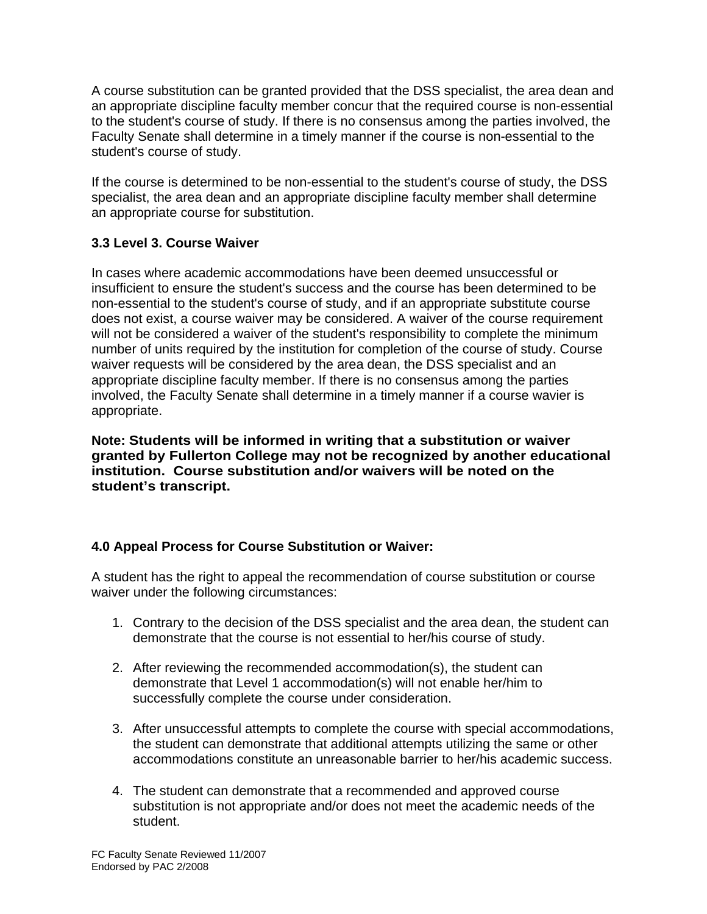A course substitution can be granted provided that the DSS specialist, the area dean and an appropriate discipline faculty member concur that the required course is non-essential to the student's course of study. If there is no consensus among the parties involved, the Faculty Senate shall determine in a timely manner if the course is non-essential to the student's course of study.

If the course is determined to be non-essential to the student's course of study, the DSS specialist, the area dean and an appropriate discipline faculty member shall determine an appropriate course for substitution.

## **3.3 Level 3. Course Waiver**

In cases where academic accommodations have been deemed unsuccessful or insufficient to ensure the student's success and the course has been determined to be non-essential to the student's course of study, and if an appropriate substitute course does not exist, a course waiver may be considered. A waiver of the course requirement will not be considered a waiver of the student's responsibility to complete the minimum number of units required by the institution for completion of the course of study. Course waiver requests will be considered by the area dean, the DSS specialist and an appropriate discipline faculty member. If there is no consensus among the parties involved, the Faculty Senate shall determine in a timely manner if a course wavier is appropriate.

**Note: Students will be informed in writing that a substitution or waiver granted by Fullerton College may not be recognized by another educational institution. Course substitution and/or waivers will be noted on the student's transcript.** 

# **4.0 Appeal Process for Course Substitution or Waiver:**

A student has the right to appeal the recommendation of course substitution or course waiver under the following circumstances:

- 1. Contrary to the decision of the DSS specialist and the area dean, the student can demonstrate that the course is not essential to her/his course of study.
- 2. After reviewing the recommended accommodation(s), the student can demonstrate that Level 1 accommodation(s) will not enable her/him to successfully complete the course under consideration.
- 3. After unsuccessful attempts to complete the course with special accommodations, the student can demonstrate that additional attempts utilizing the same or other accommodations constitute an unreasonable barrier to her/his academic success.
- 4. The student can demonstrate that a recommended and approved course substitution is not appropriate and/or does not meet the academic needs of the student.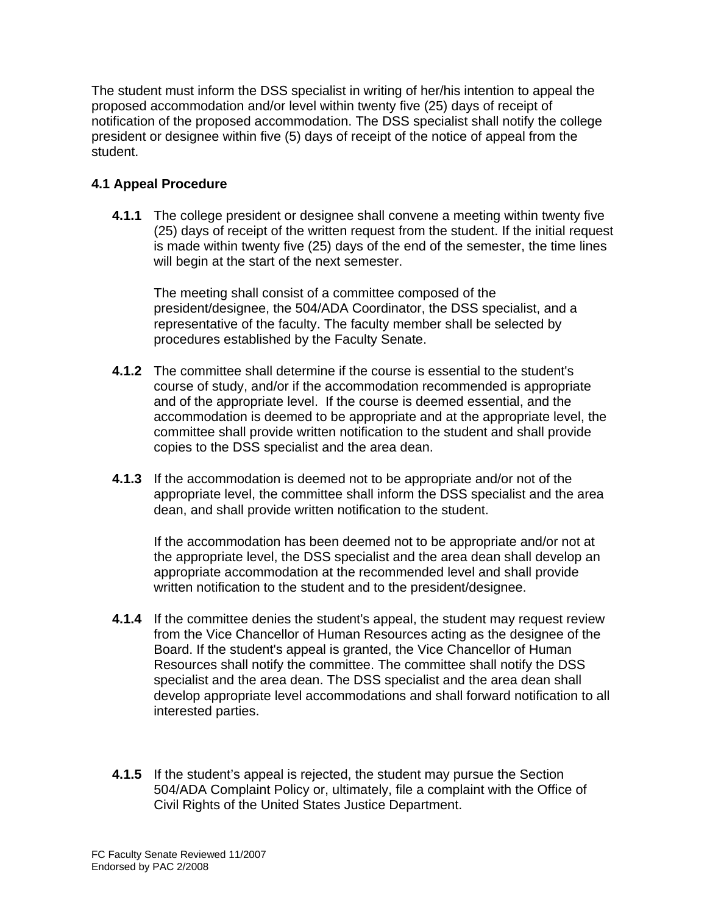The student must inform the DSS specialist in writing of her/his intention to appeal the proposed accommodation and/or level within twenty five (25) days of receipt of notification of the proposed accommodation. The DSS specialist shall notify the college president or designee within five (5) days of receipt of the notice of appeal from the student.

# **4.1 Appeal Procedure**

**4.1.1** The college president or designee shall convene a meeting within twenty five (25) days of receipt of the written request from the student. If the initial request is made within twenty five (25) days of the end of the semester, the time lines will begin at the start of the next semester.

The meeting shall consist of a committee composed of the president/designee, the 504/ADA Coordinator, the DSS specialist, and a representative of the faculty. The faculty member shall be selected by procedures established by the Faculty Senate.

- **4.1.2** The committee shall determine if the course is essential to the student's course of study, and/or if the accommodation recommended is appropriate and of the appropriate level. If the course is deemed essential, and the accommodation is deemed to be appropriate and at the appropriate level, the committee shall provide written notification to the student and shall provide copies to the DSS specialist and the area dean.
- **4.1.3** If the accommodation is deemed not to be appropriate and/or not of the appropriate level, the committee shall inform the DSS specialist and the area dean, and shall provide written notification to the student.

If the accommodation has been deemed not to be appropriate and/or not at the appropriate level, the DSS specialist and the area dean shall develop an appropriate accommodation at the recommended level and shall provide written notification to the student and to the president/designee.

- **4.1.4** If the committee denies the student's appeal, the student may request review from the Vice Chancellor of Human Resources acting as the designee of the Board. If the student's appeal is granted, the Vice Chancellor of Human Resources shall notify the committee. The committee shall notify the DSS specialist and the area dean. The DSS specialist and the area dean shall develop appropriate level accommodations and shall forward notification to all interested parties.
- **4.1.5** If the student's appeal is rejected, the student may pursue the Section 504/ADA Complaint Policy or, ultimately, file a complaint with the Office of Civil Rights of the United States Justice Department.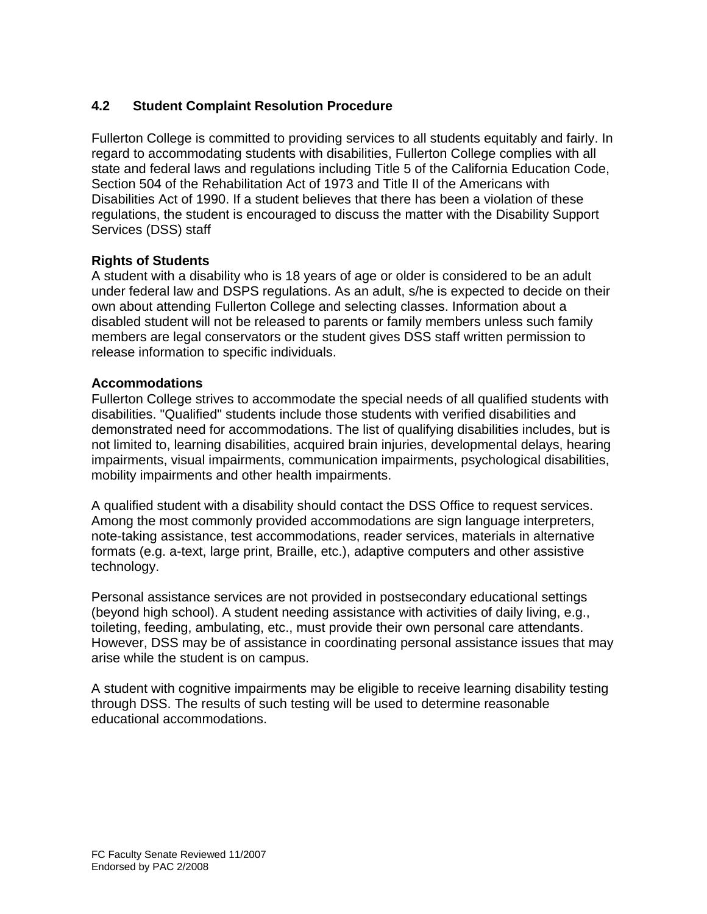# **4.2 Student Complaint Resolution Procedure**

Fullerton College is committed to providing services to all students equitably and fairly. In regard to accommodating students with disabilities, Fullerton College complies with all state and federal laws and regulations including Title 5 of the California Education Code, Section 504 of the Rehabilitation Act of 1973 and Title II of the Americans with Disabilities Act of 1990. If a student believes that there has been a violation of these regulations, the student is encouraged to discuss the matter with the Disability Support Services (DSS) staff

## **Rights of Students**

A student with a disability who is 18 years of age or older is considered to be an adult under federal law and DSPS regulations. As an adult, s/he is expected to decide on their own about attending Fullerton College and selecting classes. Information about a disabled student will not be released to parents or family members unless such family members are legal conservators or the student gives DSS staff written permission to release information to specific individuals.

### **Accommodations**

Fullerton College strives to accommodate the special needs of all qualified students with disabilities. "Qualified" students include those students with verified disabilities and demonstrated need for accommodations. The list of qualifying disabilities includes, but is not limited to, learning disabilities, acquired brain injuries, developmental delays, hearing impairments, visual impairments, communication impairments, psychological disabilities, mobility impairments and other health impairments.

A qualified student with a disability should contact the DSS Office to request services. Among the most commonly provided accommodations are sign language interpreters, note-taking assistance, test accommodations, reader services, materials in alternative formats (e.g. a-text, large print, Braille, etc.), adaptive computers and other assistive technology.

Personal assistance services are not provided in postsecondary educational settings (beyond high school). A student needing assistance with activities of daily living, e.g., toileting, feeding, ambulating, etc., must provide their own personal care attendants. However, DSS may be of assistance in coordinating personal assistance issues that may arise while the student is on campus.

A student with cognitive impairments may be eligible to receive learning disability testing through DSS. The results of such testing will be used to determine reasonable educational accommodations.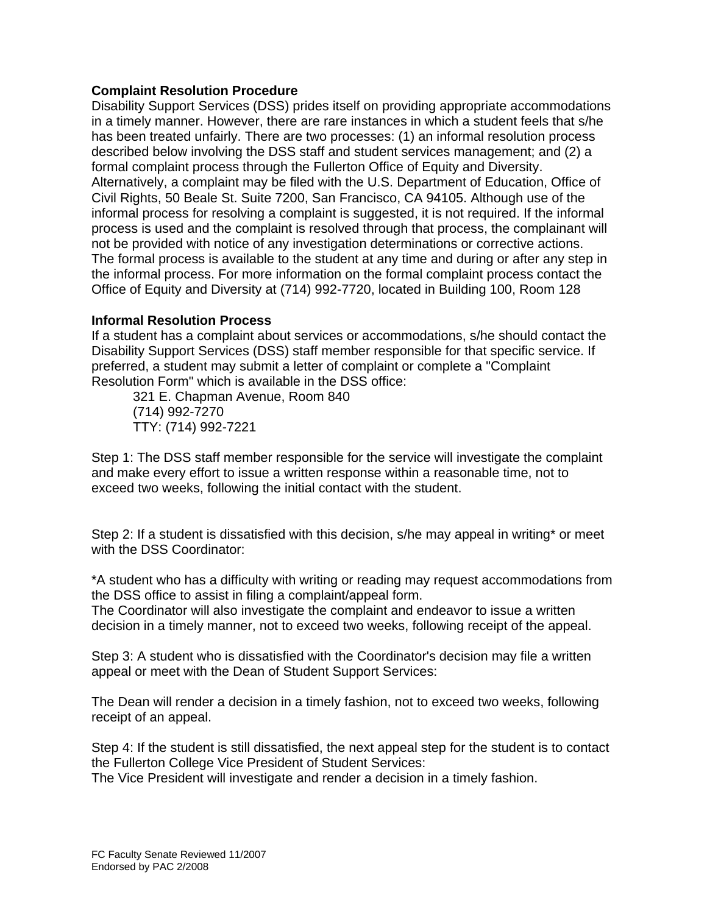### **Complaint Resolution Procedure**

Disability Support Services (DSS) prides itself on providing appropriate accommodations in a timely manner. However, there are rare instances in which a student feels that s/he has been treated unfairly. There are two processes: (1) an informal resolution process described below involving the DSS staff and student services management; and (2) a formal complaint process through the Fullerton Office of Equity and Diversity. Alternatively, a complaint may be filed with the U.S. Department of Education, Office of Civil Rights, 50 Beale St. Suite 7200, San Francisco, CA 94105. Although use of the informal process for resolving a complaint is suggested, it is not required. If the informal process is used and the complaint is resolved through that process, the complainant will not be provided with notice of any investigation determinations or corrective actions. The formal process is available to the student at any time and during or after any step in the informal process. For more information on the formal complaint process contact the Office of Equity and Diversity at (714) 992-7720, located in Building 100, Room 128

### **Informal Resolution Process**

If a student has a complaint about services or accommodations, s/he should contact the Disability Support Services (DSS) staff member responsible for that specific service. If preferred, a student may submit a letter of complaint or complete a "Complaint Resolution Form" which is available in the DSS office:

 321 E. Chapman Avenue, Room 840 (714) 992-7270 TTY: (714) 992-7221

Step 1: The DSS staff member responsible for the service will investigate the complaint and make every effort to issue a written response within a reasonable time, not to exceed two weeks, following the initial contact with the student.

Step 2: If a student is dissatisfied with this decision, s/he may appeal in writing\* or meet with the DSS Coordinator:

\*A student who has a difficulty with writing or reading may request accommodations from the DSS office to assist in filing a complaint/appeal form.

The Coordinator will also investigate the complaint and endeavor to issue a written decision in a timely manner, not to exceed two weeks, following receipt of the appeal.

Step 3: A student who is dissatisfied with the Coordinator's decision may file a written appeal or meet with the Dean of Student Support Services:

The Dean will render a decision in a timely fashion, not to exceed two weeks, following receipt of an appeal.

Step 4: If the student is still dissatisfied, the next appeal step for the student is to contact the Fullerton College Vice President of Student Services:

The Vice President will investigate and render a decision in a timely fashion.